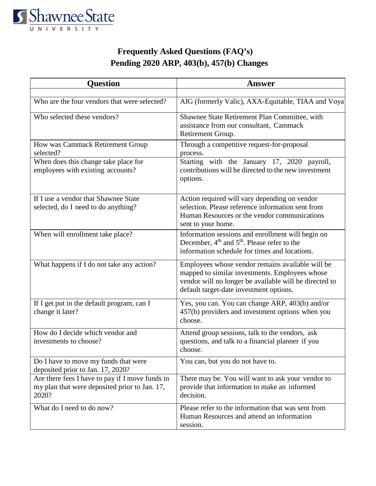

## **Frequently Asked Questions (FAQ's) Pending 2020 ARP, 403(b), 457(b) Changes**

| <b>Question</b>                                                                                           | <b>Answer</b>                                                                                                                                                                                           |
|-----------------------------------------------------------------------------------------------------------|---------------------------------------------------------------------------------------------------------------------------------------------------------------------------------------------------------|
|                                                                                                           |                                                                                                                                                                                                         |
| Who are the four vendors that were selected?                                                              | AIG (formerly Valic), AXA-Equitable, TIAA and Voya                                                                                                                                                      |
| Who selected these vendors?                                                                               | Shawnee State Retirement Plan Committee, with<br>assistance from our consultant, Cammack<br>Retirement Group.                                                                                           |
| How was Cammack Retirement Group<br>selected?                                                             | Through a competitive request-for-proposal<br>process.                                                                                                                                                  |
| When does this change take place for<br>employees with existing accounts?                                 | Starting with the January 17, 2020 payroll,<br>contributions will be directed to the new investment<br>options.                                                                                         |
| If I use a vendor that Shawnee State<br>selected, do I need to do anything?                               | Action required will vary depending on vendor<br>selection. Please reference information sent from<br>Human Resources or the vendor communications<br>sent to your home.                                |
| When will enrollment take place?                                                                          | Information sessions and enrollment will begin on<br>December, 4 <sup>th</sup> and 5 <sup>th</sup> . Please refer to the<br>information schedule for times and locations.                               |
| What happens if I do not take any action?                                                                 | Employees whose vendor remains available will be<br>mapped to similar investments. Employees whose<br>vendor will no longer be available will be directed to<br>default target-date investment options. |
| If I get put in the default program, can I<br>change it later?                                            | Yes, you can. You can change ARP, 403(b) and/or<br>457(b) providers and investment options when you<br>choose.                                                                                          |
| How do I decide which vendor and<br>investments to choose?                                                | Attend group sessions, talk to the vendors, ask<br>questions, and talk to a financial planner if you<br>choose.                                                                                         |
| Do I have to move my funds that were<br>deposited prior to Jan. 17, 2020?                                 | You can, but you do not have to.                                                                                                                                                                        |
| Are there fees I have to pay if I move funds in<br>my plan that were deposited prior to Jan. 17,<br>2020? | There may be. You will want to ask your vendor to<br>provide that information to make an informed<br>decision.                                                                                          |
| What do I need to do now?                                                                                 | Please refer to the information that was sent from<br>Human Resources and attend an information<br>session.                                                                                             |